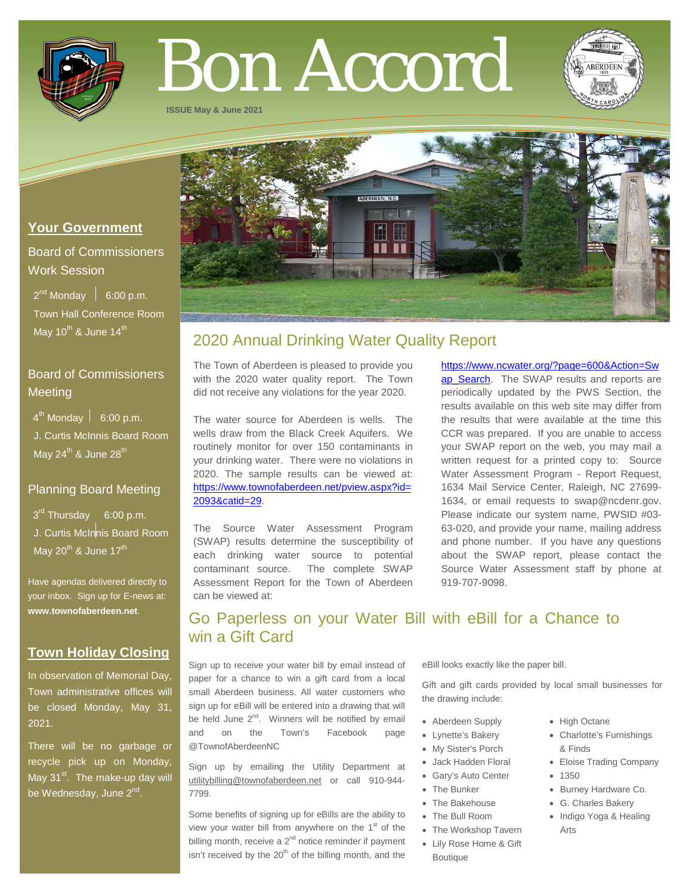

# Bon Accord

**ISSUE May & June 2021**



## **Your Government**

# Board of Commissioners Work Session

 $2^{nd}$  Monday  $\left| 6:00 \text{ p.m.}\right|$  Town Hall Conference Room May  $10^{th}$  & June  $14^{th}$ 

# Board of Commissioners **Meeting**

 $4^{\text{th}}$  Monday  $\vert$  6:00 p.m.

 J. Curtis McInnis Board Room May 24<sup>th</sup> & June 28<sup>th</sup>

## Planning Board Meeting

3<sup>rd</sup> Thursday 6:00 p.m. J. Curtis McInnis Board Room May  $20^{th}$  & June  $17^{th}$ 

Have agendas delivered directly to your inbox. Sign up for E-news at: **[www.townofaberdeen.net](http://www.townofaberdeen.net/)**.

# **Town Holiday Closing**

In observation of Memorial Day, Town administrative offices will be closed Monday, May 31, 2021.

There will be no garbage or recycle pick up on Monday, May  $31<sup>st</sup>$ . The make-up day will be Wednesday, June 2<sup>nd</sup>.

# 2020 Annual Drinking Water Quality Report

The Town of Aberdeen is pleased to provide you with the 2020 water quality report. The Town did not receive any violations for the year 2020.

The water source for Aberdeen is wells. The wells draw from the Black Creek Aquifers. We routinely monitor for over 150 contaminants in your drinking water. There were no violations in 2020. The sample results can be viewed at: [https://www.townofaberdeen.net/pview.aspx?id=](https://www.townofaberdeen.net/pview.aspx?id=2093&catid=29) [2093&catid=29.](https://www.townofaberdeen.net/pview.aspx?id=2093&catid=29)

The Source Water Assessment Program (SWAP) results determine the susceptibility of each drinking water source to potential contaminant source. The complete SWAP Assessment Report for the Town of Aberdeen can be viewed at:

[https://www.ncwater.org/?page=600&Action=Sw](https://www.ncwater.org/?page=600&Action=Swap_Search) ap Search. The SWAP results and reports are periodically updated by the PWS Section, the results available on this web site may differ from the results that were available at the time this CCR was prepared. If you are unable to access your SWAP report on the web, you may mail a written request for a printed copy to: Source Water Assessment Program - Report Request, 1634 Mail Service Center, Raleigh, NC 27699- 1634, or email requests to swap@ncdenr.gov. Please indicate our system name, PWSID #03- 63-020, and provide your name, mailing address and phone number. If you have any questions about the SWAP report, please contact the Source Water Assessment staff by phone at 919-707-9098.

# Go Paperless on your Water Bill with eBill for a Chance to win a Gift Card

Sign up to receive your water bill by email instead of paper for a chance to win a gift card from a local small Aberdeen business. All water customers who sign up for eBill will be entered into a drawing that will be held June  $2^{nd}$ . Winners will be notified by email and on the Town's Facebook page @TownofAberdeenNC

Sign up by emailing the Utility Department at utilitybilling@townofaberdeen.net or call 910-944- 7799.

Some benefits of signing up for eBills are the ability to view your water bill from anywhere on the  $1<sup>st</sup>$  of the billing month, receive a  $2<sup>nd</sup>$  notice reminder if payment isn't received by the  $20<sup>th</sup>$  of the billing month, and the

eBill looks exactly like the paper bill.

Gift and gift cards provided by local small businesses for the drawing include:

- Aberdeen Supply
- Lynette's Bakery
- My Sister's Porch
- Jack Hadden Floral
- Gary's Auto Center
- The Bunker
- The Bakehouse
- The Bull Room
- The Workshop Tavern
- Lily Rose Home & Gift Boutique
- High Octane
- Charlotte's Furnishings & Finds
- Eloise Trading Company
- 1350
- Burney Hardware Co.
- G. Charles Bakery
- Indigo Yoga & Healing Arts